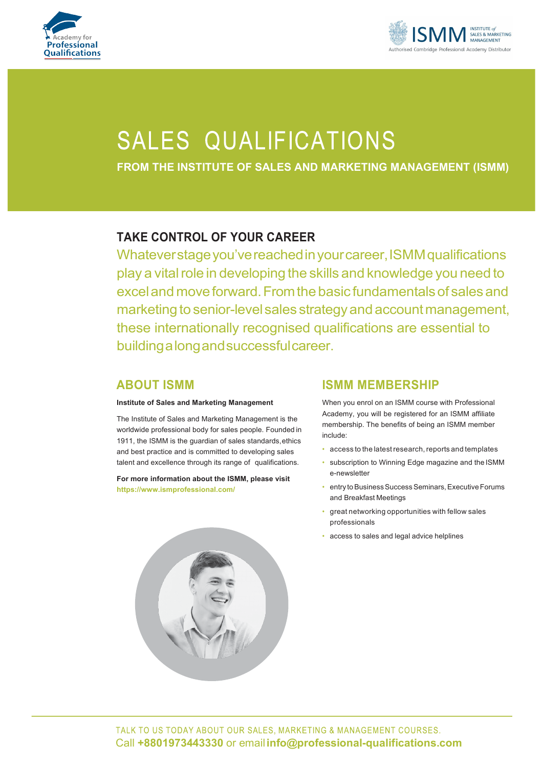



# **SALES QUALIFICATIONS**

**FROM THE INSTITUTE OF SALES AND MARKETING MANAGEMENT (ISMM)**

## **TAKE CONTROL OF YOUR CAREER**

Whateverstageyou'vereachedinyourcareer,ISMMqualifications play a vital role in developing the skills and knowledge you need to excel and move forward. From the basic fundamentals of sales and marketing to senior-level sales strategy and account management, these internationally recognised qualifications are essential to buildingalongandsuccessfulcareer.

### **ABOUT ISMM**

#### **Institute of Sales and Marketing Management**

The Institute of Sales and Marketing Management is the worldwide professional body for sales people. Founded in 1911, the ISMM is the guardian of sales standards,ethics and best practice and is committed to developing sales talent and excellence through its range of qualifications.

**For more information about the ISMM, please visit https://www.ismprofessional.com/**



### **ISMM MEMBERSHIP**

When you enrol on an ISMM course with Professional Academy, you will be registered for an ISMM affiliate membership. The benefits of being an ISMM member include:

- access to the latest research, reports and templates
- subscription to Winning Edge magazine and the ISMM e-newsletter
- entry to Business Success Seminars, Executive Forums and Breakfast Meetings
- great networking opportunities with fellow sales professionals
- access to sales and legal advice helplines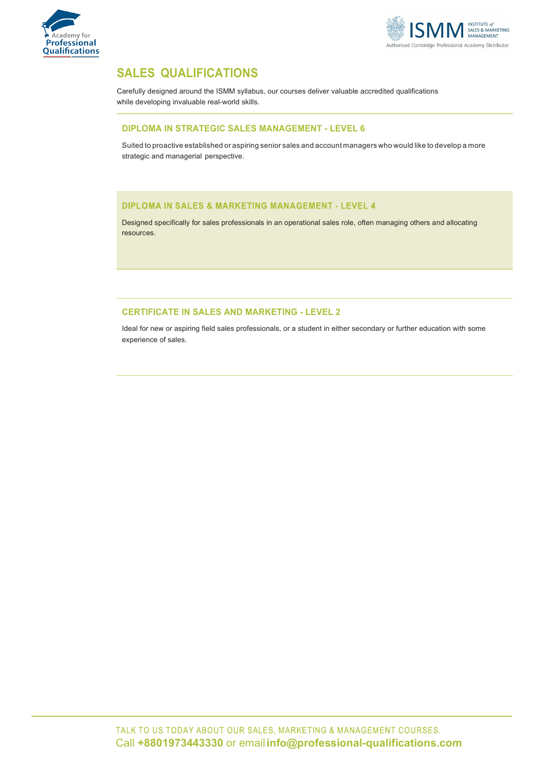



## **SALES QUALIFICATIONS**

Carefully designed around the ISMM syllabus, our courses deliver valuable accredited qualifications while developing invaluable real-world skills.

#### **DIPLOMA IN STRATEGIC SALES MANAGEMENT - LEVEL 6**

Suited to proactive established or aspiring senior sales and account managers who would like to develop a more strategic and managerial perspective.

#### **DIPLOMA IN SALES & MARKETING MANAGEMENT - LEVEL 4**

Designed specifically for sales professionals in an operational sales role, often managing others and allocating resources.

#### **CERTIFICATE IN SALES AND MARKETING - LEVEL 2**

Ideal for new or aspiring field sales professionals, or a student in either secondary or further education with some experience of sales.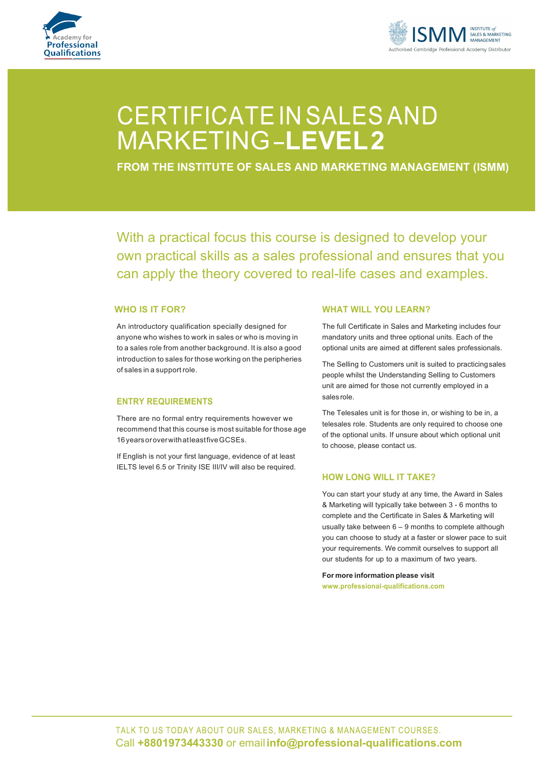



## CERTIFICATE IN SALES AND MARKETING-LEVEL2

**FROM THE INSTITUTE OF SALES AND MARKETING MANAGEMENT (ISMM)**

With a practical focus this course is designed to develop your own practical skills as a sales professional and ensures that you can apply the theory covered to real-life cases and examples.

#### **WHO IS IT FOR?**

An introductory qualification specially designed for anyone who wishes to work in sales or who is moving in to a sales role from another background. It is also a good introduction to sales for those working on the peripheries of sales in a support role.

#### **ENTRY REQUIREMENTS**

There are no formal entry requirements however we recommend that this course is most suitable for those age 16yearsoroverwithatleastfiveGCSEs.

If English is not your first language, evidence of at least IELTS level 6.5 or Trinity ISE III/IV will also be required.

#### **WHAT WILL YOU LEARN?**

The full Certificate in Sales and Marketing includes four mandatory units and three optional units. Each of the optional units are aimed at different sales professionals.

The Selling to Customers unit is suited to practicingsales people whilst the Understanding Selling to Customers unit are aimed for those not currently employed in a sales role.

The Telesales unit is for those in, or wishing to be in, a telesales role. Students are only required to choose one of the optional units. If unsure about which optional unit to choose, please contact us.

#### **HOW LONG WILL IT TAKE?**

You can start your study at any time, the Award in Sales & Marketing will typically take between 3 - 6 months to complete and the Certificate in Sales & Marketing will usually take between 6 – 9 months to complete although you can choose to study at a faster or slower pace to suit your requirements. We commit ourselves to support all our students for up to a maximum of two years.

**For more information please visit www.professional-qualifications.com**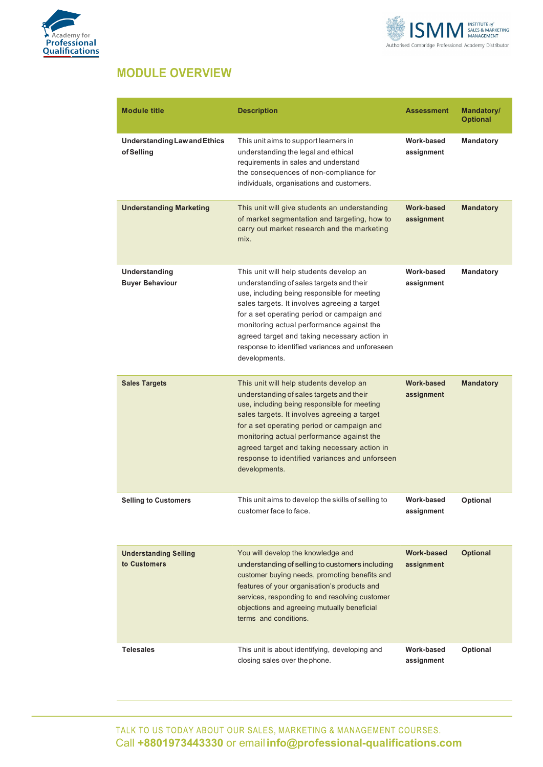



## **MODULE OVERVIEW**

| <b>Module title</b>                               | <b>Description</b>                                                                                                                                                                                                                                                                                                                                                                                 | Assessment                      | Mandatory/<br><b>Optional</b> |
|---------------------------------------------------|----------------------------------------------------------------------------------------------------------------------------------------------------------------------------------------------------------------------------------------------------------------------------------------------------------------------------------------------------------------------------------------------------|---------------------------------|-------------------------------|
| <b>Understanding Law and Ethics</b><br>of Selling | This unit aims to support learners in<br>understanding the legal and ethical<br>requirements in sales and understand<br>the consequences of non-compliance for<br>individuals, organisations and customers.                                                                                                                                                                                        | Work-based<br>assignment        | <b>Mandatory</b>              |
| <b>Understanding Marketing</b>                    | This unit will give students an understanding<br>of market segmentation and targeting, how to<br>carry out market research and the marketing<br>mix.                                                                                                                                                                                                                                               | Work-based<br>assignment        | <b>Mandatory</b>              |
| Understanding<br><b>Buyer Behaviour</b>           | This unit will help students develop an<br>understanding of sales targets and their<br>use, including being responsible for meeting<br>sales targets. It involves agreeing a target<br>for a set operating period or campaign and<br>monitoring actual performance against the<br>agreed target and taking necessary action in<br>response to identified variances and unforeseen<br>developments. | Work-based<br>assignment        | <b>Mandatory</b>              |
| <b>Sales Targets</b>                              | This unit will help students develop an<br>understanding of sales targets and their<br>use, including being responsible for meeting<br>sales targets. It involves agreeing a target<br>for a set operating period or campaign and<br>monitoring actual performance against the<br>agreed target and taking necessary action in<br>response to identified variances and unforseen<br>developments.  | <b>Work-based</b><br>assignment | <b>Mandatory</b>              |
| <b>Selling to Customers</b>                       | This unit aims to develop the skills of selling to<br>customer face to face.                                                                                                                                                                                                                                                                                                                       | Work-based<br>assignment        | <b>Optional</b>               |
| <b>Understanding Selling</b><br>to Customers      | You will develop the knowledge and<br>understanding of selling to customers including<br>customer buying needs, promoting benefits and<br>features of your organisation's products and<br>services, responding to and resolving customer<br>objections and agreeing mutually beneficial<br>terms and conditions.                                                                                   | <b>Work-based</b><br>assignment | <b>Optional</b>               |
| <b>Telesales</b>                                  | This unit is about identifying, developing and<br>closing sales over the phone.                                                                                                                                                                                                                                                                                                                    | Work-based<br>assignment        | <b>Optional</b>               |

TALK TO US TODAY ABOUT OUR SALES, MARKETING & MANAGEMENT COURSES. Call **+8801973443330** or email**info@professional-qualifications.com**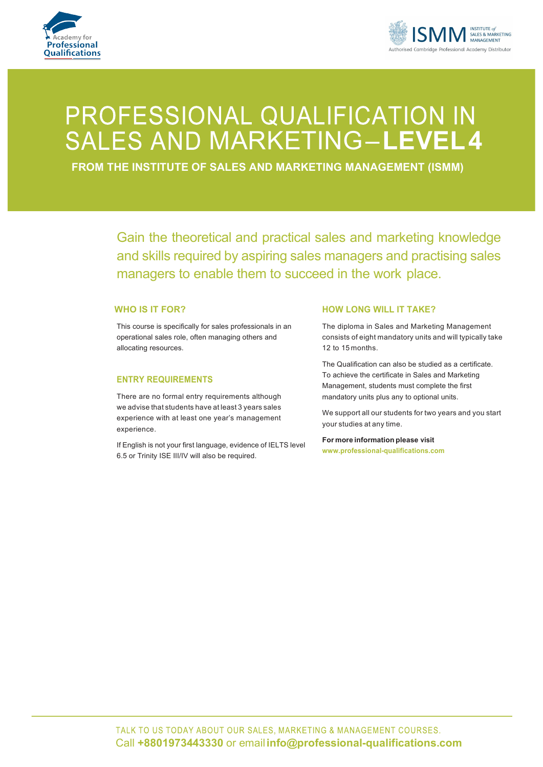



## PROFESSIONAL QUALIFICATION IN SALES AND MARKETING-LEVEL4

**FROM THE INSTITUTE OF SALES AND MARKETING MANAGEMENT (ISMM)**

Gain the theoretical and practical sales and marketing knowledge and skills required by aspiring sales managers and practising sales managers to enable them to succeed in the work place.

#### **WHO IS IT FOR?**

This course is specifically for sales professionals in an operational sales role, often managing others and allocating resources.

#### **ENTRY REQUIREMENTS**

There are no formal entry requirements although we advise that students have at least 3 years sales experience with at least one year's management experience.

If English is not your first language, evidence of IELTS level 6.5 or Trinity ISE III/IV will also be required.

#### **HOW LONG WILL IT TAKE?**

The diploma in Sales and Marketing Management consists of eight mandatory units and will typically take 12 to 15 months.

The Qualification can also be studied as a certificate. To achieve the certificate in Sales and Marketing Management, students must complete the first mandatory units plus any to optional units.

We support all our students for two years and you start your studies at any time.

**For more information please visit www.professional-qualifications.com**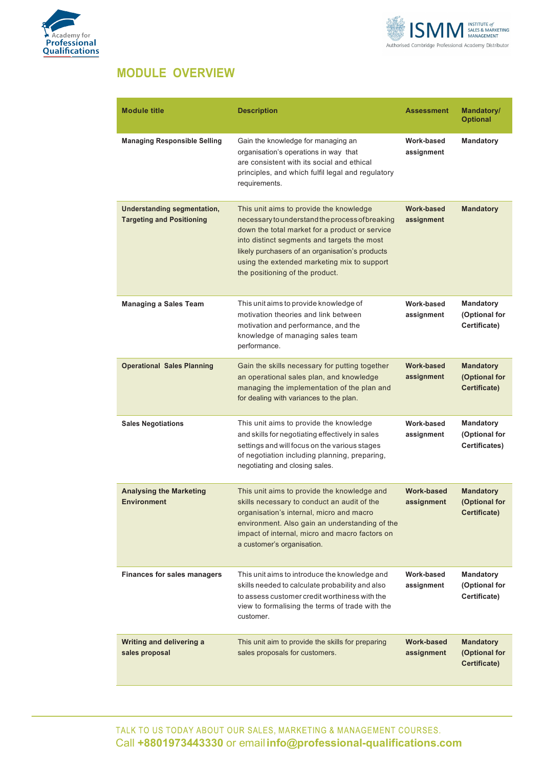



## **MODULE OVERVIEW**

| <b>Module title</b>                                                    | <b>Description</b>                                                                                                                                                                                                                                                                                                               | <b>Assessment</b>               | Mandatory/<br><b>Optional</b>                      |
|------------------------------------------------------------------------|----------------------------------------------------------------------------------------------------------------------------------------------------------------------------------------------------------------------------------------------------------------------------------------------------------------------------------|---------------------------------|----------------------------------------------------|
| <b>Managing Responsible Selling</b>                                    | Gain the knowledge for managing an<br>organisation's operations in way that<br>are consistent with its social and ethical<br>principles, and which fulfil legal and regulatory<br>requirements.                                                                                                                                  | Work-based<br>assignment        | <b>Mandatory</b>                                   |
| <b>Understanding segmentation,</b><br><b>Targeting and Positioning</b> | This unit aims to provide the knowledge<br>necessary to understand the process of breaking<br>down the total market for a product or service<br>into distinct segments and targets the most<br>likely purchasers of an organisation's products<br>using the extended marketing mix to support<br>the positioning of the product. | <b>Work-based</b><br>assignment | <b>Mandatory</b>                                   |
| <b>Managing a Sales Team</b>                                           | This unit aims to provide knowledge of<br>motivation theories and link between<br>motivation and performance, and the<br>knowledge of managing sales team<br>performance.                                                                                                                                                        | Work-based<br>assignment        | <b>Mandatory</b><br>(Optional for<br>Certificate)  |
| <b>Operational Sales Planning</b>                                      | Gain the skills necessary for putting together<br>an operational sales plan, and knowledge<br>managing the implementation of the plan and<br>for dealing with variances to the plan.                                                                                                                                             | <b>Work-based</b><br>assignment | <b>Mandatory</b><br>(Optional for<br>Certificate)  |
| <b>Sales Negotiations</b>                                              | This unit aims to provide the knowledge<br>and skills for negotiating effectively in sales<br>settings and will focus on the various stages<br>of negotiation including planning, preparing,<br>negotiating and closing sales.                                                                                                   | Work-based<br>assignment        | <b>Mandatory</b><br>(Optional for<br>Certificates) |
| <b>Analysing the Marketing</b><br><b>Environment</b>                   | This unit aims to provide the knowledge and<br>skills necessary to conduct an audit of the<br>organisation's internal, micro and macro<br>environment. Also gain an understanding of the<br>impact of internal, micro and macro factors on<br>a customer's organisation.                                                         | <b>Work-based</b><br>assignment | <b>Mandatory</b><br>(Optional for<br>Certificate)  |
| <b>Finances for sales managers</b>                                     | This unit aims to introduce the knowledge and<br>skills needed to calculate probability and also<br>to assess customer credit worthiness with the<br>view to formalising the terms of trade with the<br>customer.                                                                                                                | Work-based<br>assignment        | <b>Mandatory</b><br>(Optional for<br>Certificate)  |
| Writing and delivering a<br>sales proposal                             | This unit aim to provide the skills for preparing<br>sales proposals for customers.                                                                                                                                                                                                                                              | <b>Work-based</b><br>assignment | <b>Mandatory</b><br>(Optional for<br>Certificate)  |

TALK TO US TODAY ABOUT OUR SALES, MARKETING & MANAGEMENT COURSES. Call **+8801973443330** or email**info@professional-qualifications.com**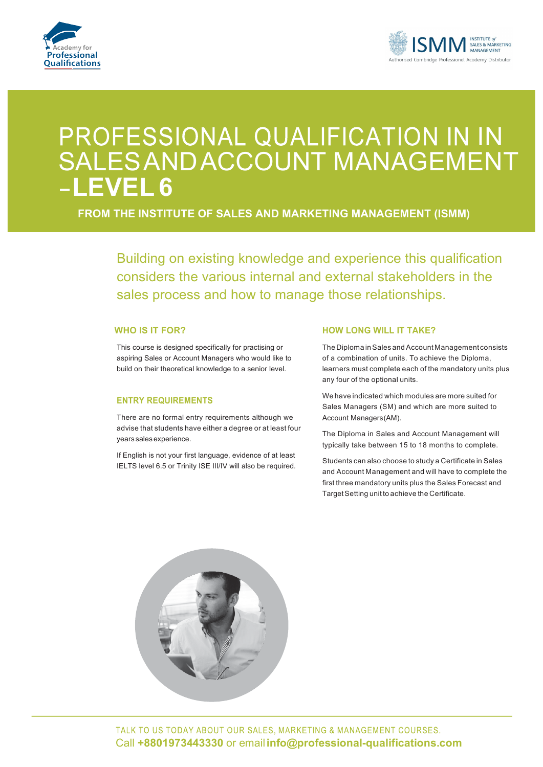



## PROFESSIONAL QUALIFICATION IN IN SALESANDACCOUNT MANAGEMENT **LEVEL 6**

**FROM THE INSTITUTE OF SALES AND MARKETING MANAGEMENT (ISMM)**

Building on existing knowledge and experience this qualification considers the various internal and external stakeholders in the sales process and how to manage those relationships.

#### **WHO IS IT FOR?**

This course is designed specifically for practising or aspiring Sales or Account Managers who would like to build on their theoretical knowledge to a senior level.

#### **ENTRY REQUIREMENTS**

There are no formal entry requirements although we advise that students have either a degree or at least four years sales experience.

If English is not your first language, evidence of at least IELTS level 6.5 or Trinity ISE III/IV will also be required.

#### **HOW LONG WILL IT TAKE?**

The Diploma in Sales and Account Management consists of a combination of units. To achieve the Diploma, learners must complete each of the mandatory units plus any four of the optional units.

We have indicated which modules are more suited for Sales Managers (SM) and which are more suited to Account Managers(AM).

The Diploma in Sales and Account Management will typically take between 15 to 18 months to complete.

Students can also choose to study a Certificate in Sales and Account Management and will have to complete the first three mandatory units plus the Sales Forecast and TargetSetting unit to achieve the Certificate.

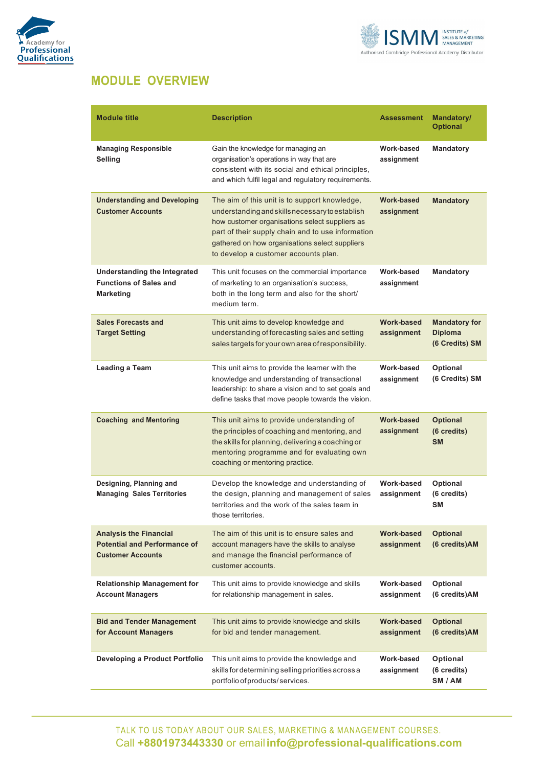



## **MODULE OVERVIEW**

| <b>Module title</b>                                                                              | <b>Description</b>                                                                                                                                                                                                                                                                                | <b>Assessment</b>               | <b>Mandatory/</b><br><b>Optional</b>                     |
|--------------------------------------------------------------------------------------------------|---------------------------------------------------------------------------------------------------------------------------------------------------------------------------------------------------------------------------------------------------------------------------------------------------|---------------------------------|----------------------------------------------------------|
| <b>Managing Responsible</b><br>Selling                                                           | Gain the knowledge for managing an<br>organisation's operations in way that are<br>consistent with its social and ethical principles,<br>and which fulfil legal and regulatory requirements.                                                                                                      | Work-based<br>assignment        | Mandatory                                                |
| <b>Understanding and Developing</b><br><b>Customer Accounts</b>                                  | The aim of this unit is to support knowledge,<br>understanding and skills necessary to establish<br>how customer organisations select suppliers as<br>part of their supply chain and to use information<br>gathered on how organisations select suppliers<br>to develop a customer accounts plan. | <b>Work-based</b><br>assignment | <b>Mandatory</b>                                         |
| <b>Understanding the Integrated</b><br><b>Functions of Sales and</b><br><b>Marketing</b>         | This unit focuses on the commercial importance<br>of marketing to an organisation's success,<br>both in the long term and also for the short/<br>medium term.                                                                                                                                     | Work-based<br>assignment        | <b>Mandatory</b>                                         |
| <b>Sales Forecasts and</b><br><b>Target Setting</b>                                              | This unit aims to develop knowledge and<br>understanding of forecasting sales and setting<br>sales targets for your own area of responsibility.                                                                                                                                                   | <b>Work-based</b><br>assignment | <b>Mandatory for</b><br><b>Diploma</b><br>(6 Credits) SM |
| Leading a Team                                                                                   | This unit aims to provide the learner with the<br>knowledge and understanding of transactional<br>leadership: to share a vision and to set goals and<br>define tasks that move people towards the vision.                                                                                         | Work-based<br>assignment        | <b>Optional</b><br>(6 Credits) SM                        |
| <b>Coaching and Mentoring</b>                                                                    | This unit aims to provide understanding of<br>the principles of coaching and mentoring, and<br>the skills for planning, delivering a coaching or<br>mentoring programme and for evaluating own<br>coaching or mentoring practice.                                                                 | <b>Work-based</b><br>assignment | <b>Optional</b><br>(6 credits)<br><b>SM</b>              |
| Designing, Planning and<br><b>Managing Sales Territories</b>                                     | Develop the knowledge and understanding of<br>the design, planning and management of sales<br>territories and the work of the sales team in<br>those territories.                                                                                                                                 | Work-based<br>assignment        | Optional<br>(6 credits)<br><b>SM</b>                     |
| <b>Analysis the Financial</b><br><b>Potential and Performance of</b><br><b>Customer Accounts</b> | The aim of this unit is to ensure sales and<br>account managers have the skills to analyse<br>and manage the financial performance of<br>customer accounts.                                                                                                                                       | <b>Work-based</b><br>assignment | <b>Optional</b><br>(6 credits)AM                         |
| <b>Relationship Management for</b><br><b>Account Managers</b>                                    | This unit aims to provide knowledge and skills<br>for relationship management in sales.                                                                                                                                                                                                           | Work-based<br>assignment        | Optional<br>(6 credits)AM                                |
| <b>Bid and Tender Management</b><br>for Account Managers                                         | This unit aims to provide knowledge and skills<br>for bid and tender management.                                                                                                                                                                                                                  | <b>Work-based</b><br>assignment | <b>Optional</b><br>(6 credits)AM                         |
| <b>Developing a Product Portfolio</b>                                                            | This unit aims to provide the knowledge and<br>skills for determining selling priorities across a<br>portfolio of products/services.                                                                                                                                                              | Work-based<br>assignment        | Optional<br>(6 credits)<br>SM / AM                       |